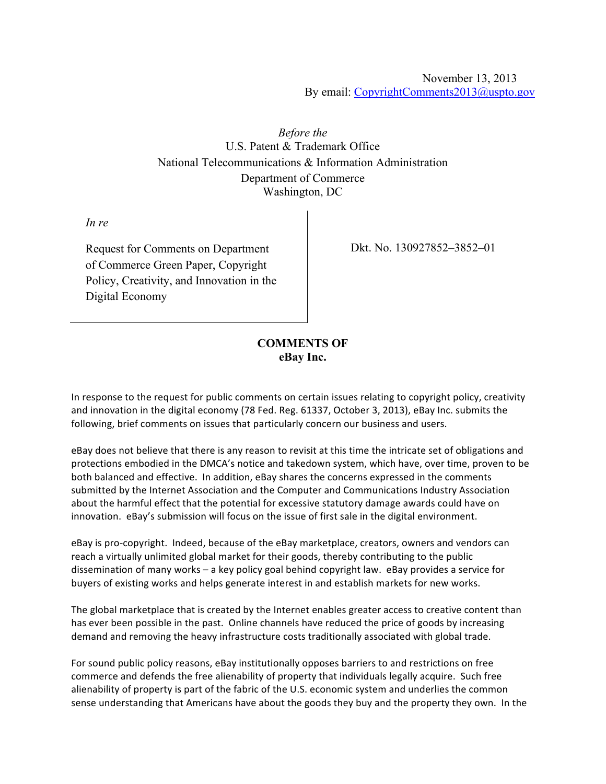November 13, 2013 By email: CopyrightComments2013@uspto.gov

*Before the* U.S. Patent & Trademark Office National Telecommunications & Information Administration Department of Commerce Washington, DC

*In re* 

Request for Comments on Department of Commerce Green Paper, Copyright Policy, Creativity, and Innovation in the Digital Economy

Dkt. No. 130927852–3852–01

## **COMMENTS OF eBay Inc.**

In response to the request for public comments on certain issues relating to copyright policy, creativity and innovation in the digital economy (78 Fed. Reg. 61337, October 3, 2013), eBay Inc. submits the following, brief comments on issues that particularly concern our business and users.

eBay does not believe that there is any reason to revisit at this time the intricate set of obligations and protections embodied in the DMCA's notice and takedown system, which have, over time, proven to be both balanced and effective. In addition, eBay shares the concerns expressed in the comments submitted by the Internet Association and the Computer and Communications Industry Association about the harmful effect that the potential for excessive statutory damage awards could have on innovation. eBay's submission will focus on the issue of first sale in the digital environment.

eBay is pro-copyright. Indeed, because of the eBay marketplace, creators, owners and vendors can reach a virtually unlimited global market for their goods, thereby contributing to the public dissemination of many works – a key policy goal behind copyright law. eBay provides a service for buyers of existing works and helps generate interest in and establish markets for new works.

The global marketplace that is created by the Internet enables greater access to creative content than has ever been possible in the past. Online channels have reduced the price of goods by increasing demand and removing the heavy infrastructure costs traditionally associated with global trade.

For sound public policy reasons, eBay institutionally opposes barriers to and restrictions on free commerce and defends the free alienability of property that individuals legally acquire. Such free alienability of property is part of the fabric of the U.S. economic system and underlies the common sense understanding that Americans have about the goods they buy and the property they own. In the